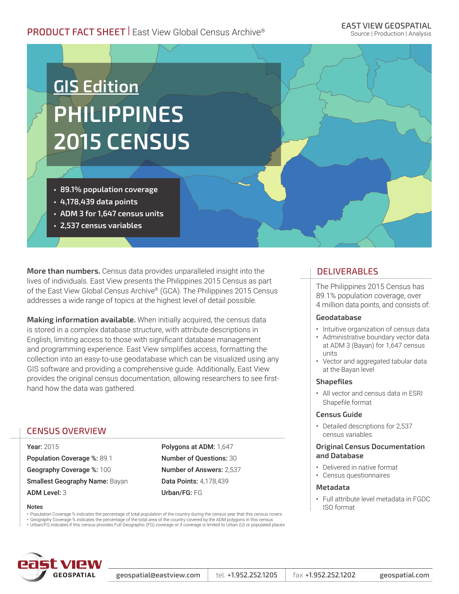# PRODUCT FACT SHEET | East View Global Census Archive®

### EAST VIEW GEOSPATIAL

Source | Production | Analysis

# **GIS Edition PHILIPPINES 2015 CENSUS**

- **• 89.1% population coverage**
- **• 4,178,439 data points**
- **• ADM 3 for 1,647 census units**
- **• 2,537 census variables**

**More than numbers.** Census data provides unparalleled insight into the lives of individuals. East View presents the Philippines 2015 Census as part of the East View Global Census Archive® (GCA). The Philippines 2015 Census addresses a wide range of topics at the highest level of detail possible.

**Making information available.** When initially acquired, the census data is stored in a complex database structure, with attribute descriptions in English, limiting access to those with significant database management and programming experience. East View simplifies access, formatting the collection into an easy-to-use geodatabase which can be visualized using any GIS software and providing a comprehensive guide. Additionally, East View provides the original census documentation, allowing researchers to see firsthand how the data was gathered.

# CENSUS OVERVIEW

Year: 2015 Population Coverage %: 89.1 Geography Coverage %: 100 Smallest Geography Name: Bayan ADM Level: 3

Polygons at ADM: 1,647 Number of Questions: 30 Number of Answers: 2,537 Data Points: 4,178,439 Urban/FG: FG

#### Notes

• Population Coverage % indicates the percentage of total population of the country during the census year that this census covers

• Geography Coverage % indicates the percentage of the total area of the country covered by the ADM polygons in this census<br>• Urban/FG indicates if this census provides Full Geographic (FG) coverage or if coverage is limi



#### geospatial@eastview.com  $\vert$  tel. +1.952.252.1205  $\vert$  fax +1.952.252.1202 geospatial.com

## DELIVERABLES

The Philippines 2015 Census has 89.1% population coverage, over 4 million data points, and consists of:

#### **Geodatabase**

- Intuitive organization of census data
- Administrative boundary vector data at ADM 3 (Bayan) for 1,647 census units
- Vector and aggregated tabular data at the Bayan level

#### **Shapefiles**

• All vector and census data in ESRI Shapefile format

#### **Census Guide**

• Detailed descriptions for 2,537 census variables

#### **Original Census Documentation and Database**

- Delivered in native format
- Census questionnaires

#### **Metadata**

• Full attribute level metadata in FGDC ISO format